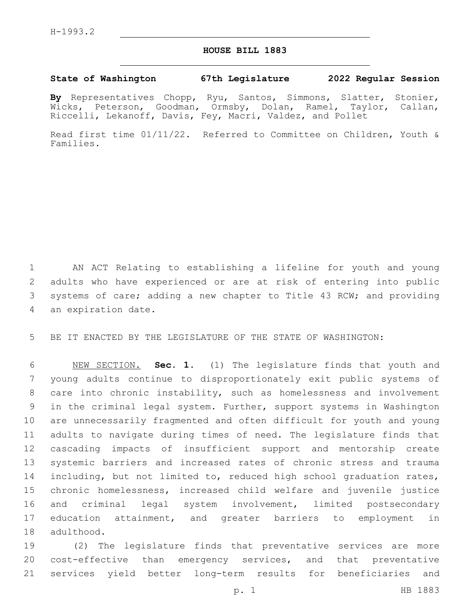## **HOUSE BILL 1883**

## **State of Washington 67th Legislature 2022 Regular Session**

**By** Representatives Chopp, Ryu, Santos, Simmons, Slatter, Stonier, Wicks, Peterson, Goodman, Ormsby, Dolan, Ramel, Taylor, Callan, Riccelli, Lekanoff, Davis, Fey, Macri, Valdez, and Pollet

Read first time 01/11/22. Referred to Committee on Children, Youth & Families.

1 AN ACT Relating to establishing a lifeline for youth and young 2 adults who have experienced or are at risk of entering into public 3 systems of care; adding a new chapter to Title 43 RCW; and providing 4 an expiration date.

5 BE IT ENACTED BY THE LEGISLATURE OF THE STATE OF WASHINGTON:

 NEW SECTION. **Sec. 1.** (1) The legislature finds that youth and young adults continue to disproportionately exit public systems of care into chronic instability, such as homelessness and involvement in the criminal legal system. Further, support systems in Washington are unnecessarily fragmented and often difficult for youth and young adults to navigate during times of need. The legislature finds that cascading impacts of insufficient support and mentorship create systemic barriers and increased rates of chronic stress and trauma 14 including, but not limited to, reduced high school graduation rates, chronic homelessness, increased child welfare and juvenile justice and criminal legal system involvement, limited postsecondary education attainment, and greater barriers to employment in adulthood.

19 (2) The legislature finds that preventative services are more 20 cost-effective than emergency services, and that preventative 21 services yield better long-term results for beneficiaries and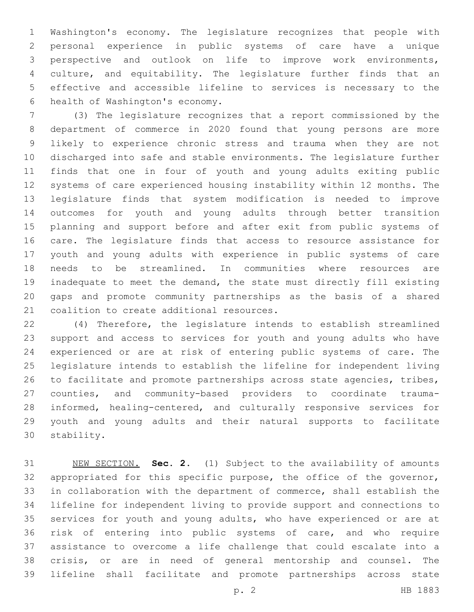Washington's economy. The legislature recognizes that people with personal experience in public systems of care have a unique perspective and outlook on life to improve work environments, culture, and equitability. The legislature further finds that an effective and accessible lifeline to services is necessary to the 6 health of Washington's economy.

 (3) The legislature recognizes that a report commissioned by the department of commerce in 2020 found that young persons are more likely to experience chronic stress and trauma when they are not discharged into safe and stable environments. The legislature further finds that one in four of youth and young adults exiting public systems of care experienced housing instability within 12 months. The legislature finds that system modification is needed to improve outcomes for youth and young adults through better transition planning and support before and after exit from public systems of care. The legislature finds that access to resource assistance for youth and young adults with experience in public systems of care needs to be streamlined. In communities where resources are inadequate to meet the demand, the state must directly fill existing gaps and promote community partnerships as the basis of a shared 21 coalition to create additional resources.

 (4) Therefore, the legislature intends to establish streamlined support and access to services for youth and young adults who have experienced or are at risk of entering public systems of care. The legislature intends to establish the lifeline for independent living 26 to facilitate and promote partnerships across state agencies, tribes, counties, and community-based providers to coordinate trauma- informed, healing-centered, and culturally responsive services for youth and young adults and their natural supports to facilitate 30 stability.

 NEW SECTION. **Sec. 2.** (1) Subject to the availability of amounts appropriated for this specific purpose, the office of the governor, in collaboration with the department of commerce, shall establish the lifeline for independent living to provide support and connections to services for youth and young adults, who have experienced or are at risk of entering into public systems of care, and who require assistance to overcome a life challenge that could escalate into a crisis, or are in need of general mentorship and counsel. The lifeline shall facilitate and promote partnerships across state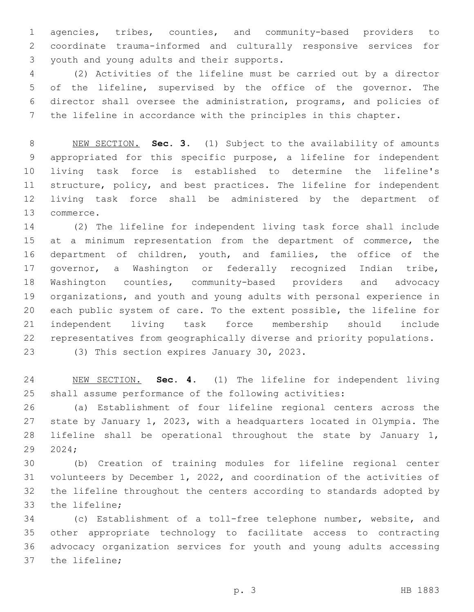agencies, tribes, counties, and community-based providers to coordinate trauma-informed and culturally responsive services for 3 youth and young adults and their supports.

 (2) Activities of the lifeline must be carried out by a director of the lifeline, supervised by the office of the governor. The director shall oversee the administration, programs, and policies of the lifeline in accordance with the principles in this chapter.

 NEW SECTION. **Sec. 3.** (1) Subject to the availability of amounts appropriated for this specific purpose, a lifeline for independent living task force is established to determine the lifeline's structure, policy, and best practices. The lifeline for independent living task force shall be administered by the department of commerce.

 (2) The lifeline for independent living task force shall include 15 at a minimum representation from the department of commerce, the department of children, youth, and families, the office of the governor, a Washington or federally recognized Indian tribe, Washington counties, community-based providers and advocacy organizations, and youth and young adults with personal experience in each public system of care. To the extent possible, the lifeline for independent living task force membership should include representatives from geographically diverse and priority populations.

23 (3) This section expires January 30, 2023.

 NEW SECTION. **Sec. 4.** (1) The lifeline for independent living shall assume performance of the following activities:

 (a) Establishment of four lifeline regional centers across the state by January 1, 2023, with a headquarters located in Olympia. The lifeline shall be operational throughout the state by January 1, 2024;

 (b) Creation of training modules for lifeline regional center volunteers by December 1, 2022, and coordination of the activities of the lifeline throughout the centers according to standards adopted by 33 the lifeline;

 (c) Establishment of a toll-free telephone number, website, and other appropriate technology to facilitate access to contracting advocacy organization services for youth and young adults accessing 37 the lifeline;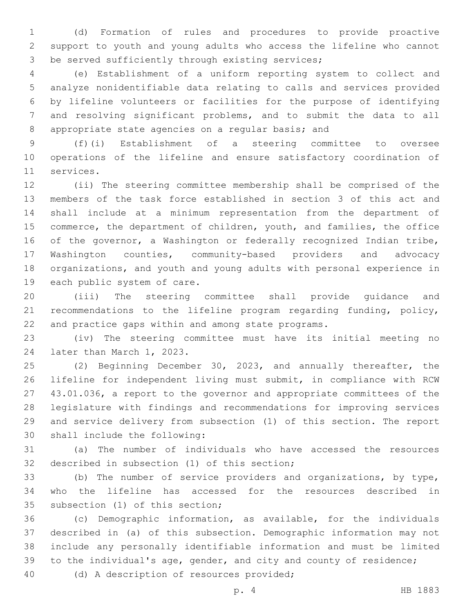(d) Formation of rules and procedures to provide proactive support to youth and young adults who access the lifeline who cannot 3 be served sufficiently through existing services;

 (e) Establishment of a uniform reporting system to collect and analyze nonidentifiable data relating to calls and services provided by lifeline volunteers or facilities for the purpose of identifying and resolving significant problems, and to submit the data to all 8 appropriate state agencies on a regular basis; and

 (f)(i) Establishment of a steering committee to oversee operations of the lifeline and ensure satisfactory coordination of 11 services.

 (ii) The steering committee membership shall be comprised of the members of the task force established in section 3 of this act and shall include at a minimum representation from the department of commerce, the department of children, youth, and families, the office of the governor, a Washington or federally recognized Indian tribe, Washington counties, community-based providers and advocacy organizations, and youth and young adults with personal experience in 19 each public system of care.

 (iii) The steering committee shall provide guidance and recommendations to the lifeline program regarding funding, policy, and practice gaps within and among state programs.

 (iv) The steering committee must have its initial meeting no 24 later than March 1, 2023.

 (2) Beginning December 30, 2023, and annually thereafter, the lifeline for independent living must submit, in compliance with RCW 43.01.036, a report to the governor and appropriate committees of the legislature with findings and recommendations for improving services and service delivery from subsection (1) of this section. The report 30 shall include the following:

 (a) The number of individuals who have accessed the resources 32 described in subsection (1) of this section;

 (b) The number of service providers and organizations, by type, who the lifeline has accessed for the resources described in 35 subsection (1) of this section;

 (c) Demographic information, as available, for the individuals described in (a) of this subsection. Demographic information may not include any personally identifiable information and must be limited to the individual's age, gender, and city and county of residence;

40 (d) A description of resources provided;